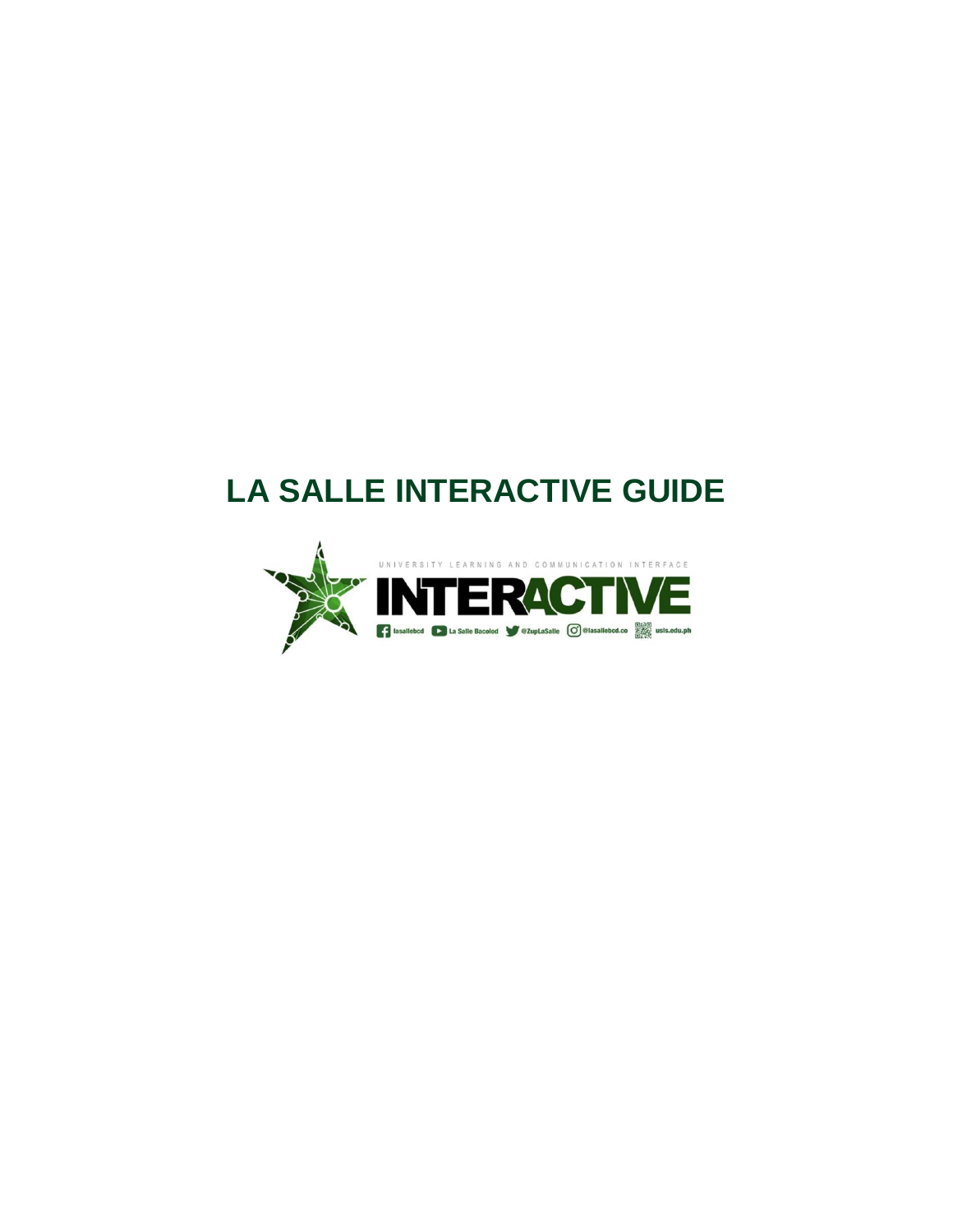## **LA SALLE INTERACTIVE GUIDE**

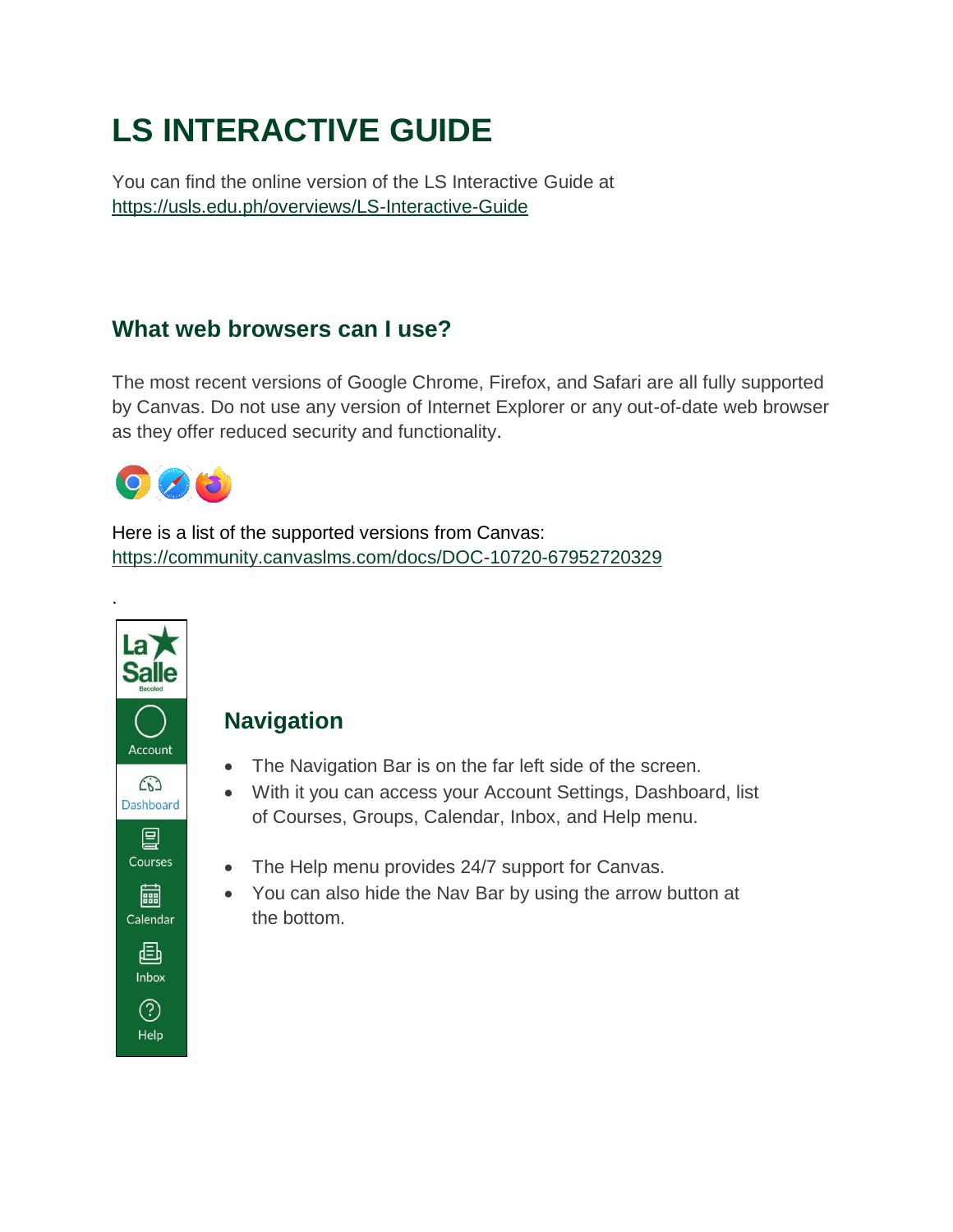# **LS INTERACTIVE GUIDE**

You can find the online version of the LS Interactive Guide at https://usls.edu.ph/overviews/LS-Interactive-Guide

#### **What web browsers can I use?**

The most recent versions of Google Chrome, Firefox, and Safari are all fully supported by Canvas. Do not use any version of Internet Explorer or any out-of-date web browser as they offer reduced security and functionality.



.

Here is a list of the supported versions from Canvas: <https://community.canvaslms.com/docs/DOC-10720-67952720329>

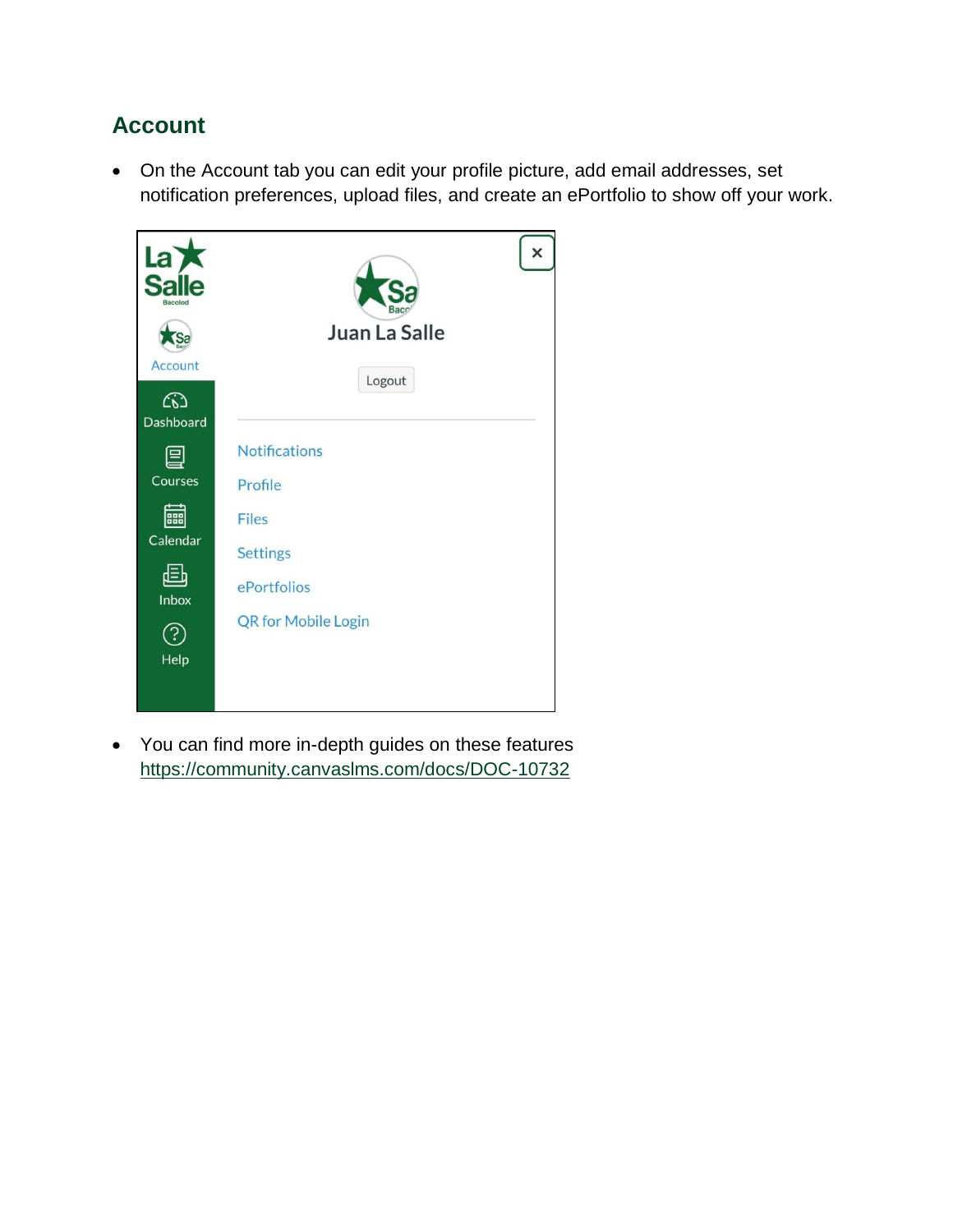## **Account**

 On the Account tab you can edit your profile picture, add email addresses, set notification preferences, upload files, and create an ePortfolio to show off your work.



 You can find more in-depth guides on these features <https://community.canvaslms.com/docs/DOC-10732>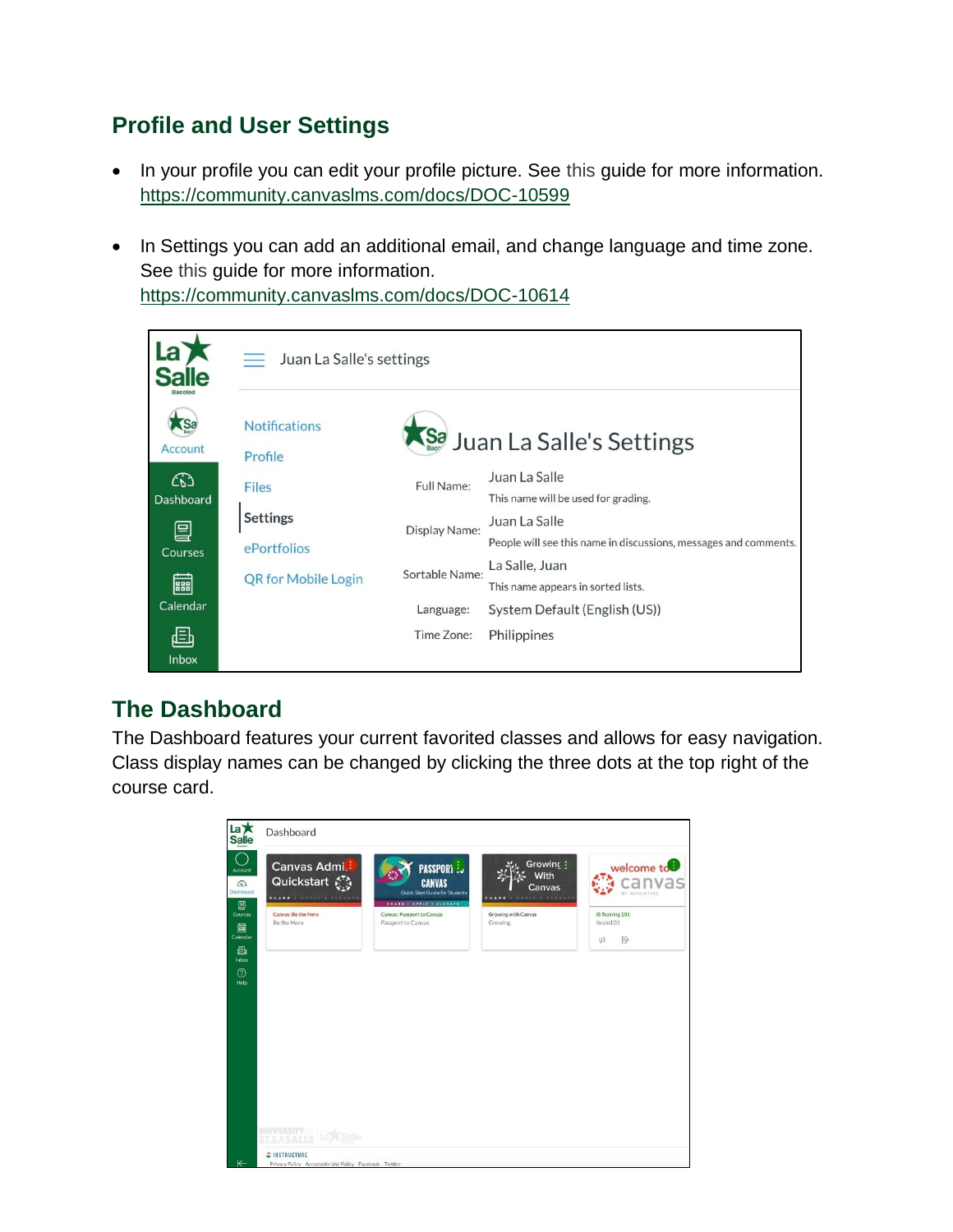## **Profile and User Settings**

- In your profile you can edit your profile picture. See [this](https://community.canvaslms.com/docs/DOC-10599) quide for more information. <https://community.canvaslms.com/docs/DOC-10599>
- In Settings you can add an additional email, and change language and time zone. See [this](https://community.canvaslms.com/docs/DOC-10614) guide for more information. <https://community.canvaslms.com/docs/DOC-10614>



## **The Dashboard**

The Dashboard features your current favorited classes and allows for easy navigation. Class display names can be changed by clicking the three dots at the top right of the course card.

| Canvas Admi.<br>Quickstart &<br>Dashboard<br>SHARE I ARPLY I ELEVATI | <b>PASSPORY:</b><br><b>CANVAS</b><br>Quick Start Guide for Students                | Growing :<br>With<br>Canvas<br>SHARE I APPLY I CLEVATE | welcome to <sup>0</sup><br>BY INSTRUCTURE |
|----------------------------------------------------------------------|------------------------------------------------------------------------------------|--------------------------------------------------------|-------------------------------------------|
| Canvas: Be the Hero<br>Be the Hero                                   | SHARE I APPLY I ELEVATE<br><b>Canvas: Passport to Canvas</b><br>Passport to Canvas | Growing with Canvas<br>Growing                         | <b>IS Training 101</b><br>itrain101       |
|                                                                      |                                                                                    |                                                        | $\mathfrak{P}$<br>$\overline{\mathbb{Z}}$ |
|                                                                      |                                                                                    |                                                        |                                           |
|                                                                      |                                                                                    |                                                        |                                           |
|                                                                      |                                                                                    |                                                        |                                           |
|                                                                      |                                                                                    |                                                        |                                           |
|                                                                      |                                                                                    |                                                        |                                           |
|                                                                      |                                                                                    |                                                        |                                           |
|                                                                      |                                                                                    |                                                        |                                           |
|                                                                      |                                                                                    |                                                        |                                           |
|                                                                      |                                                                                    |                                                        |                                           |
|                                                                      |                                                                                    |                                                        |                                           |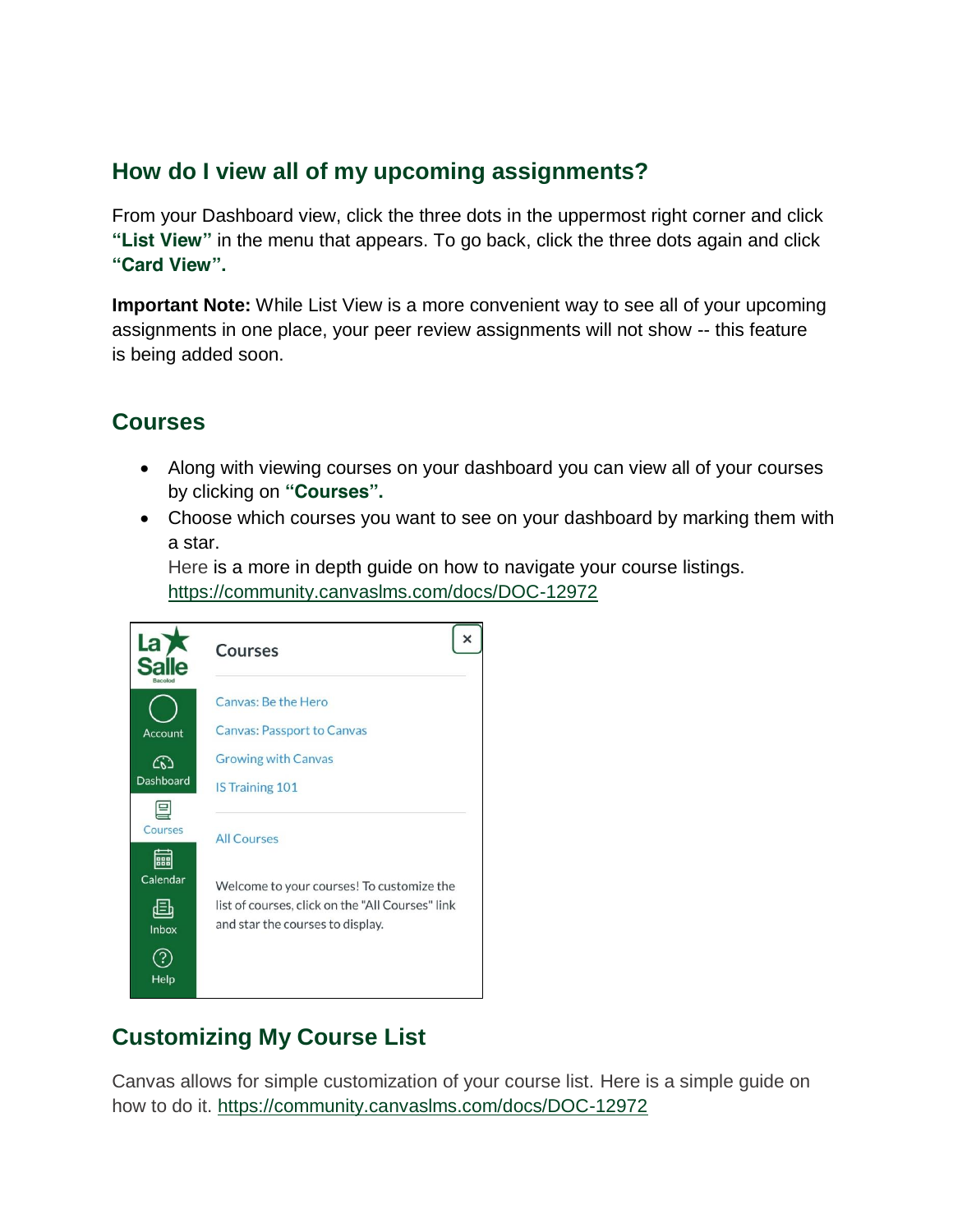#### **How do I view all of my upcoming assignments?**

From your Dashboard view, click the three dots in the uppermost right corner and click **"List View"** in the menu that appears. To go back, click the three dots again and click **"Card View".**

**Important Note:** While List View is a more convenient way to see all of your upcoming assignments in one place, your peer review assignments will not show -- this feature is being added soon.

#### **Courses**

- Along with viewing courses on your dashboard you can view all of your courses by clicking on **"Courses".**
- Choose which courses you want to see on your dashboard by marking them with a star.

[Here](https://community.canvaslms.com/docs/DOC-12972) is a more in depth guide on how to navigate your course listings. <https://community.canvaslms.com/docs/DOC-12972>

| La<br>lacolod    | <b>Courses</b>                                                                       |
|------------------|--------------------------------------------------------------------------------------|
|                  | Canvas: Be the Hero                                                                  |
| Account          | <b>Canvas: Passport to Canvas</b>                                                    |
| ෬                | <b>Growing with Canvas</b>                                                           |
| <b>Dashboard</b> | <b>IS Training 101</b>                                                               |
|                  |                                                                                      |
| Courses          | <b>All Courses</b>                                                                   |
| 888<br>Calendar  | Welcome to your courses! To customize the                                            |
| Inbox            | list of courses, click on the "All Courses" link<br>and star the courses to display. |
| Help             |                                                                                      |

## **Customizing My Course List**

Canvas allows for simple customization of your course list. [Here](https://community.canvaslms.com/docs/DOC-1288) is a simple guide on how to do it. <https://community.canvaslms.com/docs/DOC-12972>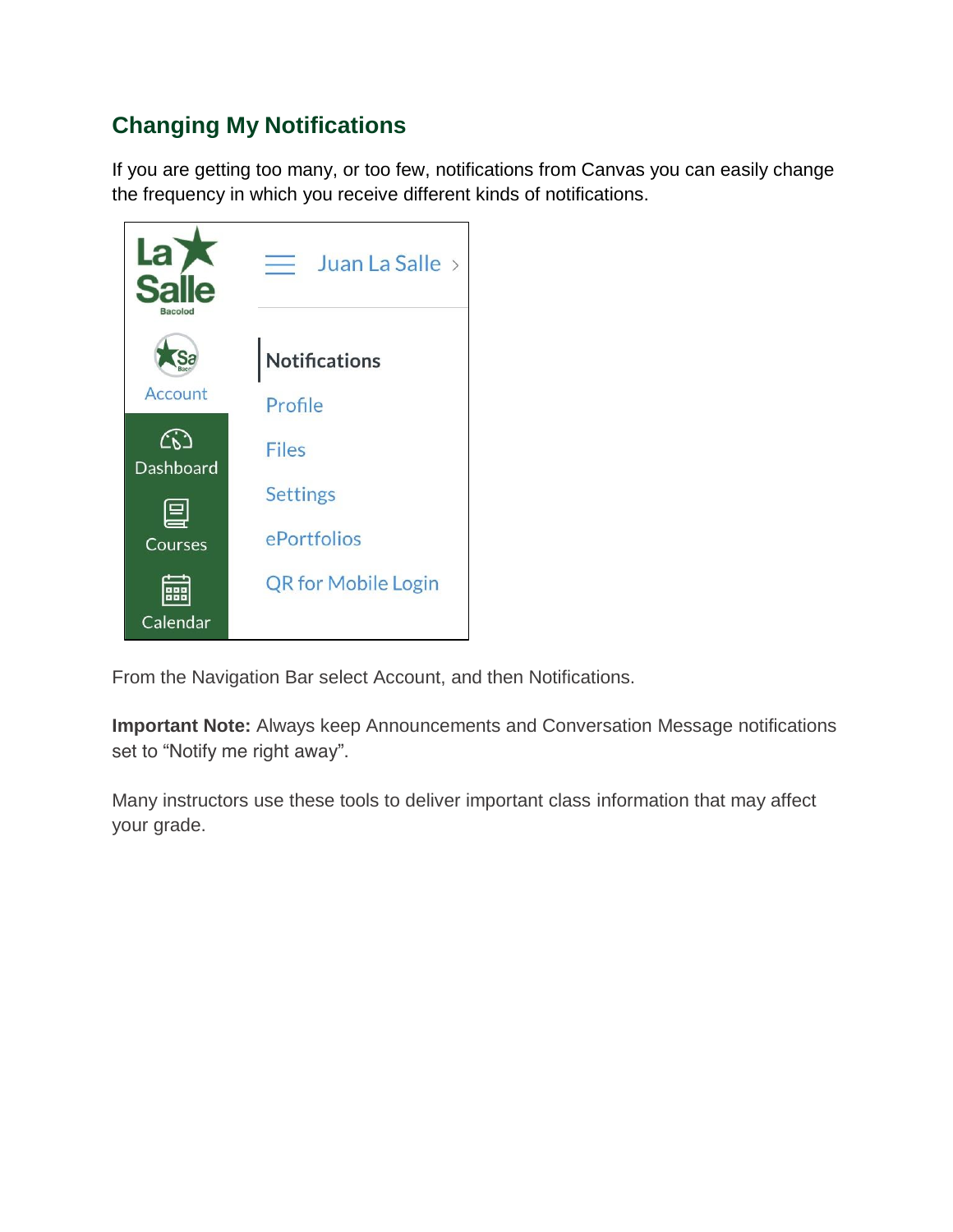## **Changing My Notifications**

If you are getting too many, or too few, notifications from Canvas you can easily change the frequency in which you receive different kinds of notifications.



From the Navigation Bar select Account, and then Notifications.

**Important Note:** Always keep Announcements and Conversation Message notifications set to "Notify me right away".

Many instructors use these tools to deliver important class information that may affect your grade.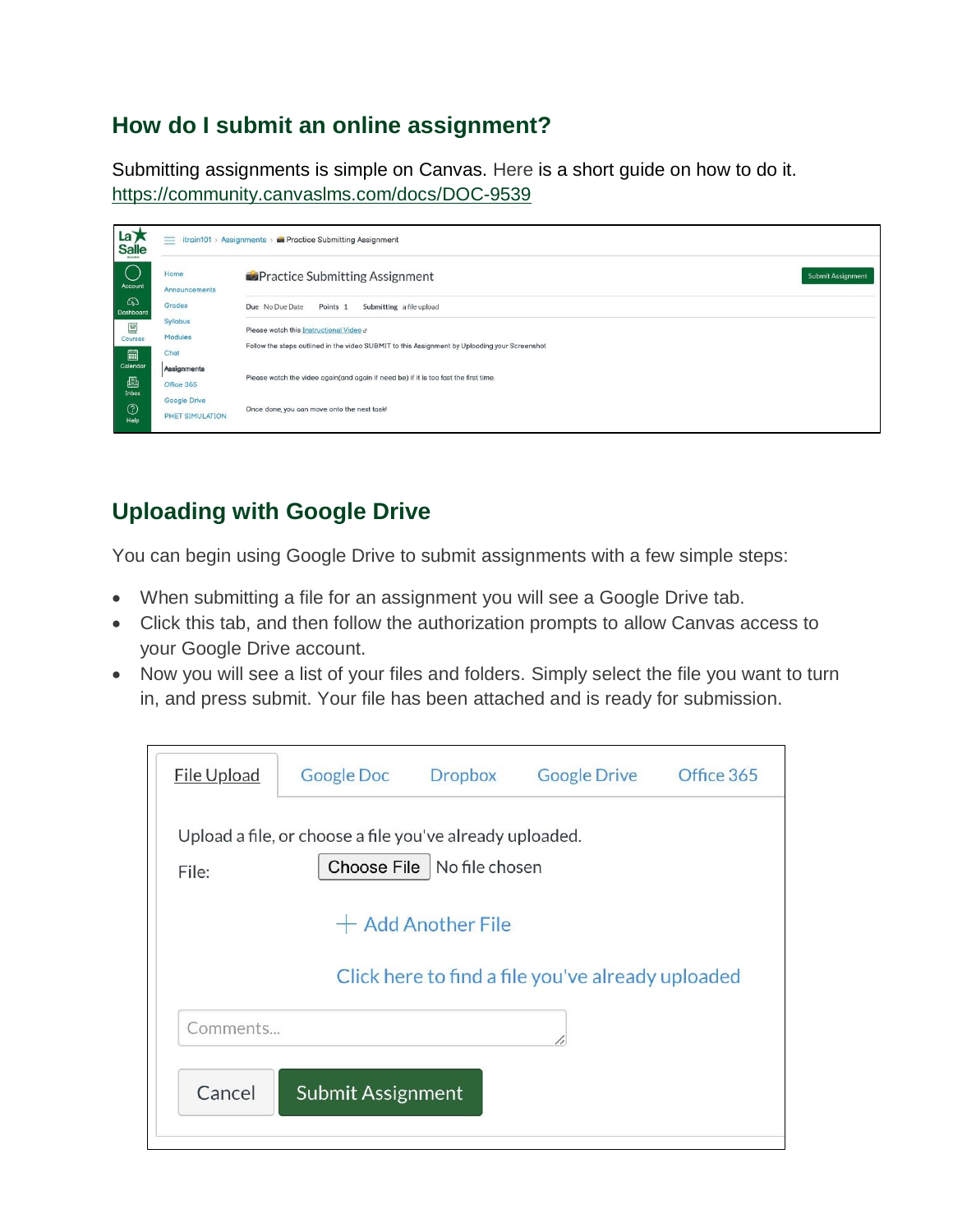#### **How do I submit an online assignment?**

Submitting assignments is simple on Canvas. [Here](https://community.canvaslms.com/docs/DOC-9539) is a short guide on how to do it. <https://community.canvaslms.com/docs/DOC-9539>

| $\overline{a}$<br><b>Salle</b>                         | $=$<br>itrain101 > Assignments > in Practice Submitting Assignment |                                                                                                                                           |                   |  |  |  |
|--------------------------------------------------------|--------------------------------------------------------------------|-------------------------------------------------------------------------------------------------------------------------------------------|-------------------|--|--|--|
| $\left(\begin{array}{c}1\end{array}\right)$<br>Account | Home<br>Announcements                                              | <b>Practice Submitting Assignment</b>                                                                                                     | Submit Assignment |  |  |  |
| ෬<br>Dashboard                                         | Grades<br>Syllabus                                                 | Submitting a file upload<br>Due No Due Date<br>Points <sub>1</sub>                                                                        |                   |  |  |  |
| 圓<br>Courses                                           | Modules                                                            | Please watch this Instructional Video et<br>Follow the steps outlined in the video SUBMIT to this Assignment by Uploading your Screenshot |                   |  |  |  |
| 圙<br>Calendar                                          | Chat<br>Assignments                                                |                                                                                                                                           |                   |  |  |  |
| 画<br>Inbox                                             | Office 365<br>Google Drive                                         | Please watch the video again(and again if need be) if it is too fast the first time.                                                      |                   |  |  |  |
| $^{\circledR}$<br>Help                                 | PHET SIMULATION                                                    | Once done, you can move onto the next task!                                                                                               |                   |  |  |  |

## **Uploading with Google Drive**

You can begin using Google Drive to submit assignments with a few simple steps:

- When submitting a file for an assignment you will see a Google Drive tab.
- Click this tab, and then follow the authorization prompts to allow Canvas access to your Google Drive account.
- Now you will see a list of your files and folders. Simply select the file you want to turn in, and press submit. Your file has been attached and is ready for submission.

| <b>File Upload</b>                                                                                | <b>Google Doc</b> | <b>Dropbox</b> | <b>Google Drive</b> | Office 365 |  |  |  |  |  |  |
|---------------------------------------------------------------------------------------------------|-------------------|----------------|---------------------|------------|--|--|--|--|--|--|
| Upload a file, or choose a file you've already uploaded.<br>Choose File   No file chosen<br>File: |                   |                |                     |            |  |  |  |  |  |  |
| $+$ Add Another File                                                                              |                   |                |                     |            |  |  |  |  |  |  |
| Click here to find a file you've already uploaded                                                 |                   |                |                     |            |  |  |  |  |  |  |
| Comments                                                                                          |                   |                |                     |            |  |  |  |  |  |  |
| Cancel<br>Submit Assignment                                                                       |                   |                |                     |            |  |  |  |  |  |  |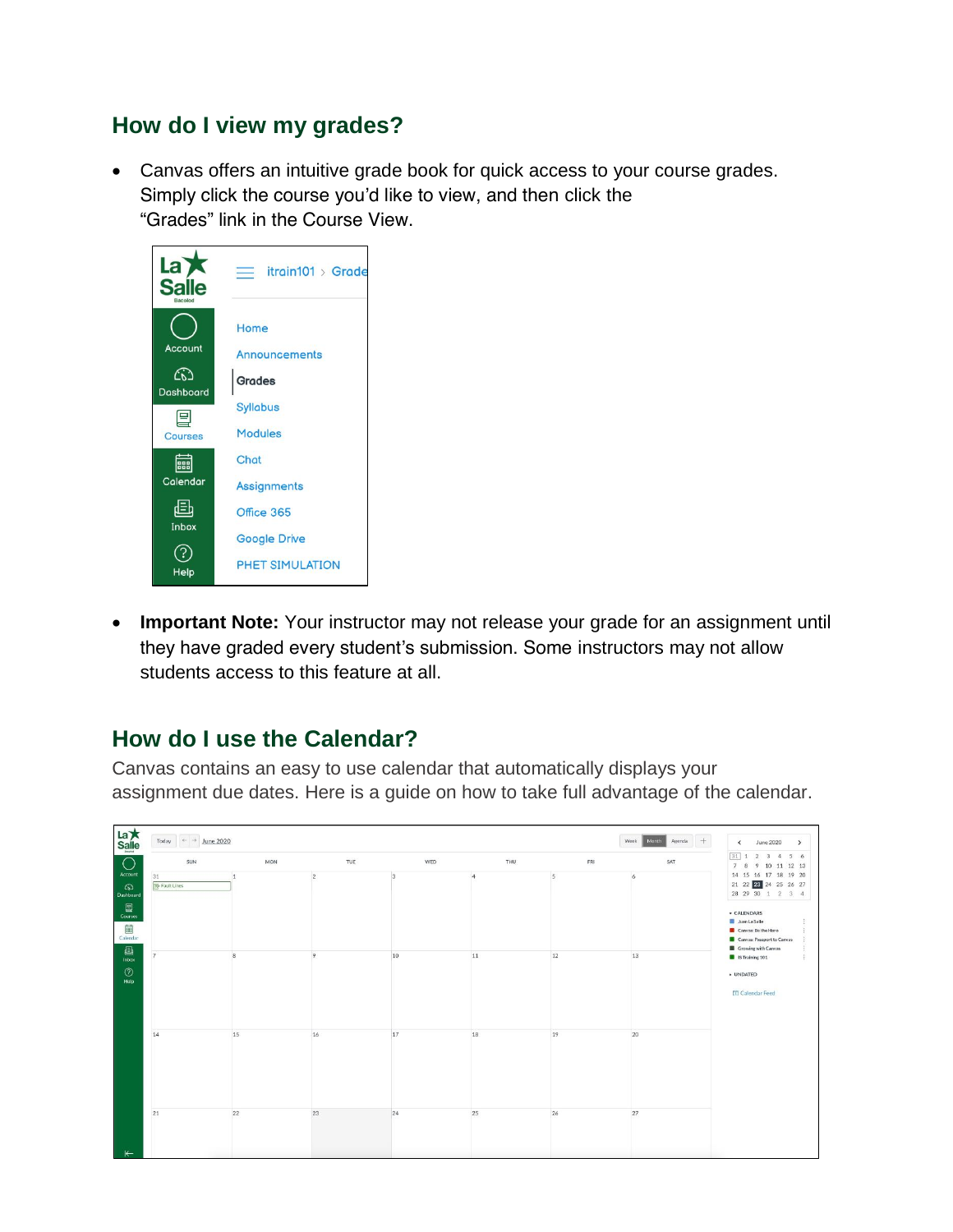#### **How do I view my grades?**

 Canvas offers an intuitive grade book for quick access to your course grades. Simply click the course you'd like to view, and then click the "Grades" link in the Course View.



 **Important Note:** Your instructor may not release your grade for an assignment until they have graded every student's submission. Some instructors may not allow students access to this feature at all.

## **How do I use the Calendar?**

Canvas contains an easy to use calendar that automatically displays your assignment due dates. [Here](https://community.canvaslms.com/docs/DOC-12911) is a guide on how to take full advantage of the calendar.